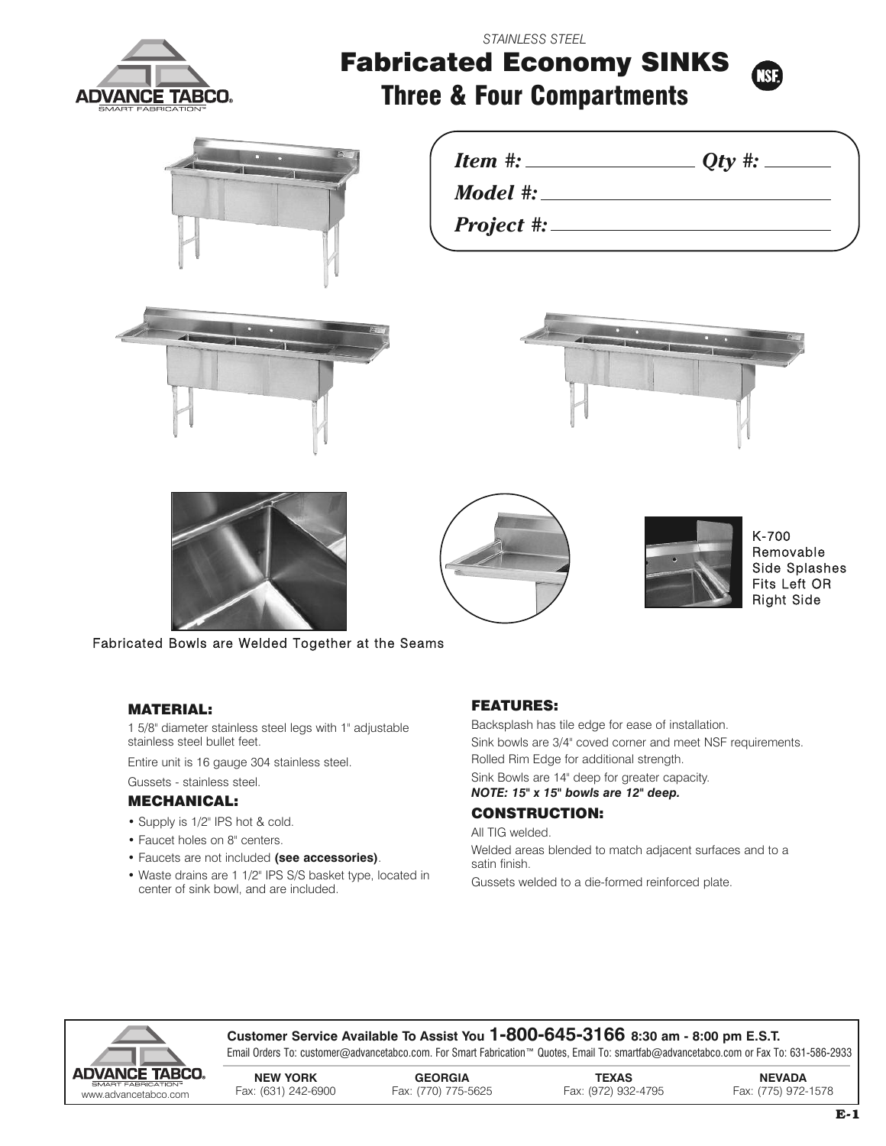

*STAINLESS STEEL*

# **Fabricated Economy SINKS Three & Four Compartments**



*Model #:*

*Project #:*











K-700 Removable Side Splashes Fits Left OR Right Side

Fabricated Bowls are Welded Together at the Seams

## **MATERIAL:**

1 5/8" diameter stainless steel legs with 1" adjustable stainless steel bullet feet.

Entire unit is 16 gauge 304 stainless steel.

## Gussets - stainless steel.

## **MECHANICAL:**

- Supply is 1/2" IPS hot & cold.
- Faucet holes on 8" centers.
- Faucets are not included **(see accessories)**.
- Waste drains are 1 1/2" IPS S/S basket type, located in center of sink bowl, and are included.

# **FEATURES:**

Backsplash has tile edge for ease of installation. Sink bowls are 3/4" coved corner and meet NSF requirements. Rolled Rim Edge for additional strength. Sink Bowls are 14" deep for greater capacity. *NOTE: 15" x 15" bowls are 12" deep.*

# **CONSTRUCTION:**

All TIG welded.

Welded areas blended to match adjacent surfaces and to a satin finish.

Gussets welded to a die-formed reinforced plate.



## **Customer Service Available To Assist You 1-800-645-3166 8:30 am - 8:00 pm E.S.T.**

Email Orders To: customer@advancetabco.com. For Smart Fabrication™ Quotes, Email To: smartfab@advancetabco.com or Fax To: 631-586-2933

| DVANCE TABCO.        | <b>NEW YORK</b>     | <b>GEORGIA</b>      | <b>TEXAS</b>        | <b>NEVADA</b>       |
|----------------------|---------------------|---------------------|---------------------|---------------------|
| SMART FABRICATION"   |                     |                     |                     |                     |
| www.advancetabco.com | Fax: (631) 242-6900 | Fax: (770) 775-5625 | Fax: (972) 932-4795 | Fax: (775) 972-1578 |